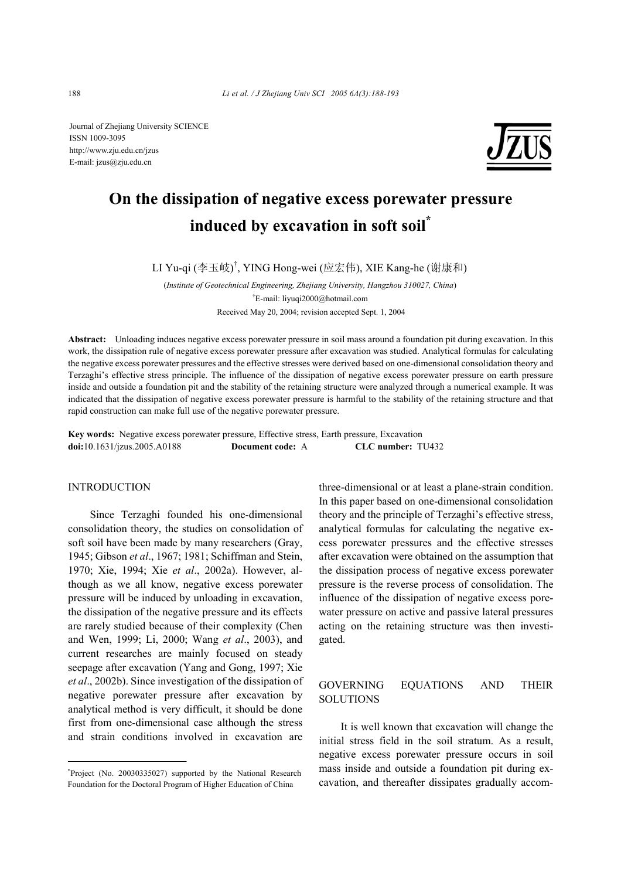Journal of Zhejiang University SCIENCE ISSN 1009-3095 http://www.zju.edu.cn/jzus E-mail: jzus@zju.edu.cn



# **On the dissipation of negative excess porewater pressure induced by excavation in soft soil\***

LI Yu-qi (李玉岐) † , YING Hong-wei (应宏伟), XIE Kang-he (谢康和)

(*Institute of Geotechnical Engineering, Zhejiang University, Hangzhou 310027, China*) † E-mail: liyuqi2000@hotmail.com Received May 20, 2004; revision accepted Sept. 1, 2004

**Abstract:** Unloading induces negative excess porewater pressure in soil mass around a foundation pit during excavation. In this work, the dissipation rule of negative excess porewater pressure after excavation was studied. Analytical formulas for calculating the negative excess porewater pressures and the effective stresses were derived based on one-dimensional consolidation theory and Terzaghi's effective stress principle. The influence of the dissipation of negative excess porewater pressure on earth pressure inside and outside a foundation pit and the stability of the retaining structure were analyzed through a numerical example. It was indicated that the dissipation of negative excess porewater pressure is harmful to the stability of the retaining structure and that rapid construction can make full use of the negative porewater pressure.

**Key words:** Negative excess porewater pressure, Effective stress, Earth pressure, Excavation **doi:**10.1631/jzus.2005.A0188 **Document code:** A **CLC number:** TU432

#### INTRODUCTION

Since Terzaghi founded his one-dimensional consolidation theory, the studies on consolidation of soft soil have been made by many researchers (Gray, 1945; Gibson *et al*., 1967; 1981; Schiffman and Stein, 1970; Xie, 1994; Xie *et al*., 2002a). However, although as we all know, negative excess porewater pressure will be induced by unloading in excavation, the dissipation of the negative pressure and its effects are rarely studied because of their complexity (Chen and Wen, 1999; Li, 2000; Wang *et al*., 2003), and current researches are mainly focused on steady seepage after excavation (Yang and Gong, 1997; Xie *et al*., 2002b). Since investigation of the dissipation of negative porewater pressure after excavation by analytical method is very difficult, it should be done first from one-dimensional case although the stress and strain conditions involved in excavation are

three-dimensional or at least a plane-strain condition. In this paper based on one-dimensional consolidation theory and the principle of Terzaghi's effective stress, analytical formulas for calculating the negative excess porewater pressures and the effective stresses after excavation were obtained on the assumption that the dissipation process of negative excess porewater pressure is the reverse process of consolidation. The influence of the dissipation of negative excess porewater pressure on active and passive lateral pressures acting on the retaining structure was then investigated.

### GOVERNING EQUATIONS AND THEIR **SOLUTIONS**

It is well known that excavation will change the initial stress field in the soil stratum. As a result, negative excess porewater pressure occurs in soil mass inside and outside a foundation pit during excavation, and thereafter dissipates gradually accom-

<sup>\*</sup> Project (No. 20030335027) supported by the National Research Foundation for the Doctoral Program of Higher Education of China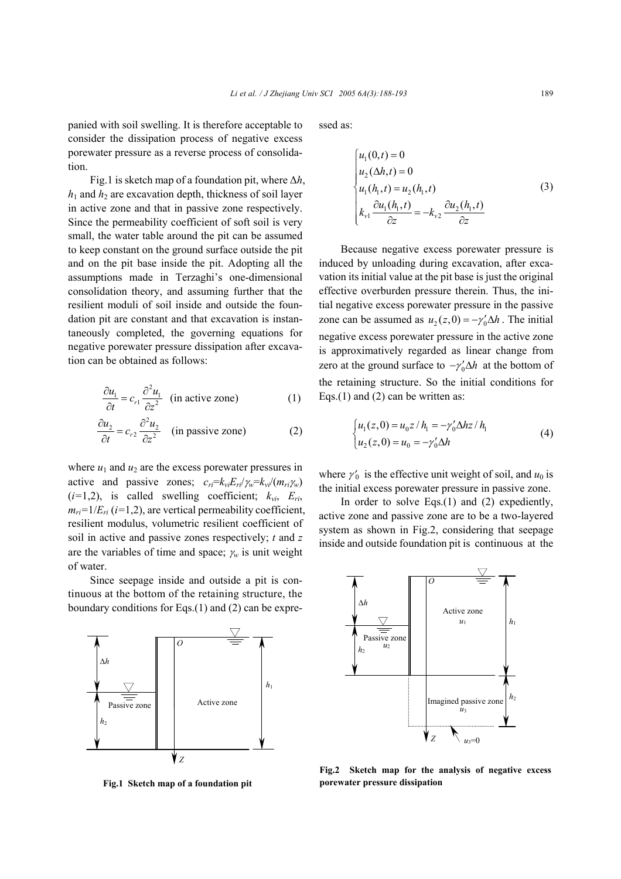panied with soil swelling. It is therefore acceptable to consider the dissipation process of negative excess porewater pressure as a reverse process of consolidation.

Fig.1 is sketch map of a foundation pit, where ∆*h*,  $h_1$  and  $h_2$  are excavation depth, thickness of soil layer in active zone and that in passive zone respectively. Since the permeability coefficient of soft soil is very small, the water table around the pit can be assumed to keep constant on the ground surface outside the pit and on the pit base inside the pit. Adopting all the assumptions made in Terzaghi's one-dimensional consolidation theory, and assuming further that the resilient moduli of soil inside and outside the foundation pit are constant and that excavation is instantaneously completed, the governing equations for negative porewater pressure dissipation after excavation can be obtained as follows:

$$
\frac{\partial u_1}{\partial t} = c_{r1} \frac{\partial^2 u_1}{\partial z^2}
$$
 (in active zone) (1)

$$
\frac{\partial u_2}{\partial t} = c_{r2} \frac{\partial^2 u_2}{\partial z^2}
$$
 (in passive zone) (2)

where  $u_1$  and  $u_2$  are the excess porewater pressures in active and passive zones;  $c_{ri} = k_{vi}E_{ri}/\gamma_w = k_{vi}/(m_{ri}\gamma_w)$  $(i=1,2)$ , is called swelling coefficient;  $k_{vi}$ ,  $E_{ri}$ ,  $m_{ri}=1/E_{ri}$  ( $i=1,2$ ), are vertical permeability coefficient, resilient modulus, volumetric resilient coefficient of soil in active and passive zones respectively; *t* and *z* are the variables of time and space;  $\chi_w$  is unit weight of water.

Since seepage inside and outside a pit is continuous at the bottom of the retaining structure, the boundary conditions for Eqs.(1) and (2) can be expre-



**Fig.1 Sketch map of a foundation pit** 

ssed as:

$$
\begin{cases}\n u_1(0,t) = 0 \\
u_2(\Delta h, t) = 0 \\
u_1(h_1, t) = u_2(h_1, t) \\
k_{v1} \frac{\partial u_1(h_1, t)}{\partial z} = -k_{v2} \frac{\partial u_2(h_1, t)}{\partial z}\n\end{cases}
$$
\n(3)

Because negative excess porewater pressure is induced by unloading during excavation, after excavation its initial value at the pit base is just the original effective overburden pressure therein. Thus, the initial negative excess porewater pressure in the passive zone can be assumed as  $u_2(z,0) = -\gamma'_0 \Delta h$ . The initial negative excess porewater pressure in the active zone is approximatively regarded as linear change from zero at the ground surface to  $-\gamma_0^{\prime} \Delta h$  at the bottom of the retaining structure. So the initial conditions for Eqs.(1) and (2) can be written as:

$$
\begin{cases} u_1(z,0) = u_0 z / h_1 = -\gamma'_0 \Delta h z / h_1 \\ u_2(z,0) = u_0 = -\gamma'_0 \Delta h \end{cases}
$$
 (4)

where  $\gamma'_0$  is the effective unit weight of soil, and  $u_0$  is the initial excess porewater pressure in passive zone.

In order to solve Eqs.(1) and (2) expediently, active zone and passive zone are to be a two-layered system as shown in Fig.2, considering that seepage inside and outside foundation pit is continuous at the



**Fig.2 Sketch map for the analysis of negative excess porewater pressure dissipation**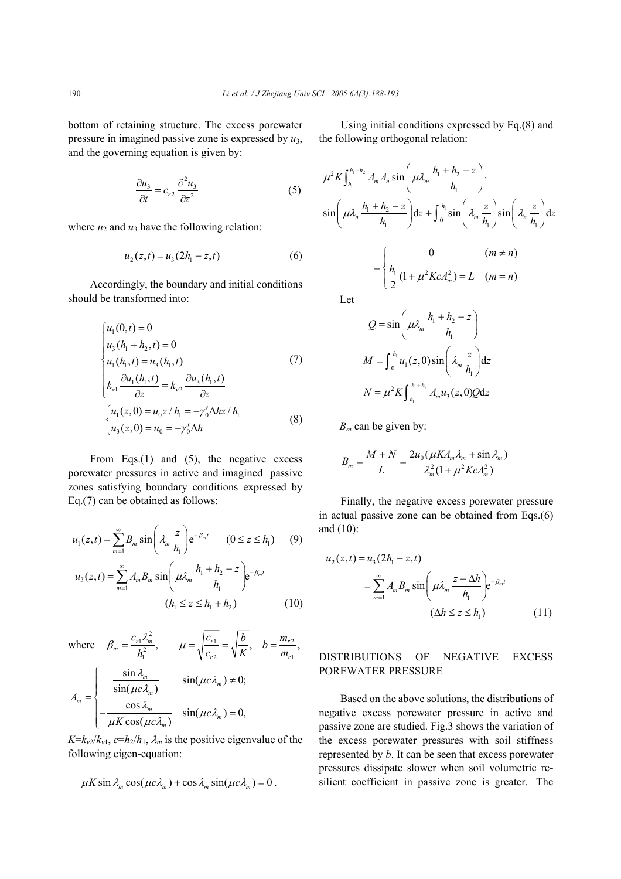bottom of retaining structure. The excess porewater pressure in imagined passive zone is expressed by *u*3, and the governing equation is given by:

$$
\frac{\partial u_3}{\partial t} = c_{r2} \frac{\partial^2 u_3}{\partial z^2} \tag{5}
$$

where  $u_2$  and  $u_3$  have the following relation:

$$
u_2(z,t) = u_3(2h_1 - z, t)
$$
 (6)

Accordingly, the boundary and initial conditions should be transformed into:

$$
\begin{cases}\n u_1(0,t) = 0 \\
u_3(h_1 + h_2, t) = 0 \\
u_1(h_1, t) = u_3(h_1, t) \\
k_{v1} \frac{\partial u_1(h_1, t)}{\partial z} = k_{v2} \frac{\partial u_3(h_1, t)}{\partial z} \\
\left\{ u_1(z, 0) = u_0 z / h_1 = -\gamma'_0 \Delta h z / h_1 \\
u_3(z, 0) = u_0 = -\gamma'_0 \Delta h\n\end{cases}
$$
\n(8)

From Eqs.(1) and (5), the negative excess porewater pressures in active and imagined passive zones satisfying boundary conditions expressed by Eq.(7) can be obtained as follows:

$$
u_1(z,t) = \sum_{m=1}^{\infty} B_m \sin\left(\lambda_m \frac{z}{h_1}\right) e^{-\beta_m t} \qquad (0 \le z \le h_1) \qquad (9)
$$
  

$$
u_3(z,t) = \sum_{m=1}^{\infty} A_m B_m \sin\left(\mu \lambda_m \frac{h_1 + h_2 - z}{h_1}\right) e^{-\beta_m t}
$$
  

$$
(h_1 \le z \le h_1 + h_2) \qquad (10)
$$

where 
$$
\beta_m = \frac{c_{r1} \lambda_m^2}{h_1^2}
$$
,  $\mu = \sqrt{\frac{c_{r1}}{c_{r2}}} = \sqrt{\frac{b}{K}}$ ,  $b = \frac{m_{r2}}{m_{r1}}$ ,  

$$
A_m = \begin{cases} \frac{\sin \lambda_m}{\sin(\mu c \lambda_m)} & \sin(\mu c \lambda_m) \neq 0; \\ -\frac{\cos \lambda_m}{\mu K \cos(\mu c \lambda_m)} & \sin(\mu c \lambda_m) = 0, \end{cases}
$$

 $K=k_{v2}/k_{v1}$ ,  $c=h_2/h_1$ ,  $\lambda_m$  is the positive eigenvalue of the following eigen-equation:

$$
\mu K \sin \lambda_m \cos(\mu c \lambda_m) + \cos \lambda_m \sin(\mu c \lambda_m) = 0.
$$

Using initial conditions expressed by Eq.(8) and the following orthogonal relation:

$$
\mu^2 K \int_{h_1}^{h_1 + h_2} A_m A_n \sin\left(\mu \lambda_m \frac{h_1 + h_2 - z}{h_1}\right) \cdot
$$
  

$$
\sin\left(\mu \lambda_n \frac{h_1 + h_2 - z}{h_1}\right) dz + \int_0^{h_1} \sin\left(\lambda_m \frac{z}{h_1}\right) \sin\left(\lambda_n \frac{z}{h_1}\right) dz
$$

$$
= \begin{cases} 0 & (m \neq n) \\ \frac{h_1}{2} (1 + \mu^2 K c A_m^2) = L & (m = n) \end{cases}
$$
Let

$$
Q = \sin\left(\mu \lambda_m \frac{h_1 + h_2 - z}{h_1}\right)
$$

$$
M = \int_0^{h_1} u_1(z, 0) \sin\left(\lambda_m \frac{z}{h_1}\right) dz
$$

$$
N = \mu^2 K \int_{h_1}^{h_1 + h_2} A_m u_3(z, 0) Q dz
$$

*Bm* can be given by:

$$
B_m = \frac{M+N}{L} = \frac{2u_0(\mu K A_m \lambda_m + \sin \lambda_m)}{\lambda_m^2 (1 + \mu^2 K c A_m^2)}
$$

Finally, the negative excess porewater pressure in actual passive zone can be obtained from Eqs.(6) and (10):

$$
u_2(z,t) = u_3(2h_1 - z, t)
$$
  
= 
$$
\sum_{m=1}^{\infty} A_m B_m \sin\left(\mu \lambda_m \frac{z - \Delta h}{h_1}\right) e^{-\beta_m t}
$$
  

$$
(\Delta h \le z \le h_1)
$$
 (11)

## DISTRIBUTIONS OF NEGATIVE EXCESS POREWATER PRESSURE

Based on the above solutions, the distributions of negative excess porewater pressure in active and passive zone are studied. Fig.3 shows the variation of the excess porewater pressures with soil stiffness represented by *b*. It can be seen that excess porewater pressures dissipate slower when soil volumetric resilient coefficient in passive zone is greater. The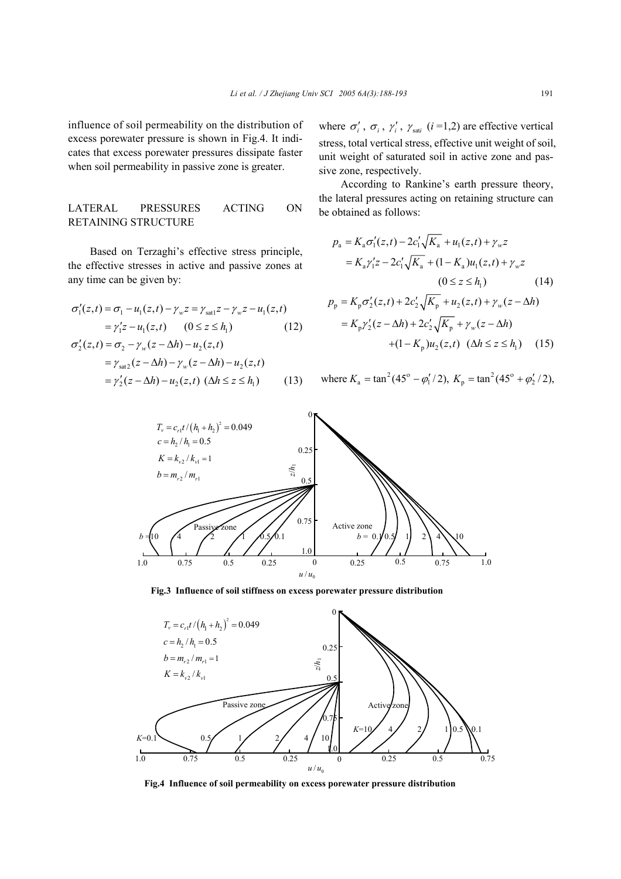influence of soil permeability on the distribution of excess porewater pressure is shown in Fig.4. It indicates that excess porewater pressures dissipate faster when soil permeability in passive zone is greater.

## LATERAL PRESSURES ACTING ON RETAINING STRUCTURE

Based on Terzaghi's effective stress principle, the effective stresses in active and passive zones at any time can be given by:

$$
\sigma'_{1}(z,t) = \sigma_{1} - u_{1}(z,t) - \gamma_{w}z = \gamma_{sat1}z - \gamma_{w}z - u_{1}(z,t)
$$
  
=  $\gamma'_{1}z - u_{1}(z,t)$  (0 \le z \le h<sub>1</sub>) (12)  
 $\sigma'_{2}(z,t) = \sigma_{2} - \gamma_{w}(z - \Delta h) - u_{2}(z,t)$ 

$$
= \gamma_{\text{sat2}}(z - \Delta h) - \gamma_w(z - \Delta h) - u_2(z, t)
$$

$$
= \gamma'_2(z - \Delta h) - u_2(z, t) \ (\Delta h \le z \le h_1)
$$
 (13)

where  $\sigma'_i$ ,  $\sigma_i$ ,  $\gamma'_i$ ,  $\gamma_{\text{sat}}$  (*i*=1,2) are effective vertical stress, total vertical stress, effective unit weight of soil, unit weight of saturated soil in active zone and passive zone, respectively.

According to Rankine's earth pressure theory, the lateral pressures acting on retaining structure can be obtained as follows:

$$
p_{a} = K_{a} \sigma'_{1}(z, t) - 2c'_{1} \sqrt{K_{a}} + u_{1}(z, t) + \gamma_{w} z
$$
  
\n
$$
= K_{a} \gamma'_{1} z - 2c'_{1} \sqrt{K_{a}} + (1 - K_{a}) u_{1}(z, t) + \gamma_{w} z
$$
  
\n
$$
(0 \le z \le h_{1}) \qquad (14)
$$
  
\n
$$
p_{p} = K_{p} \sigma'_{2}(z, t) + 2c'_{2} \sqrt{K_{p}} + u_{2}(z, t) + \gamma_{w}(z - \Delta h)
$$
  
\n
$$
= K_{p} \gamma'_{2}(z - \Delta h) + 2c'_{2} \sqrt{K_{p}} + \gamma_{w}(z - \Delta h)
$$

$$
+(1 - K_{p})u_{2}(z, t) \ (\Delta h \le z \le h_{1}) \quad (15)
$$

where 
$$
K_a = \tan^2(45^\circ - \varphi_1'/2)
$$
,  $K_p = \tan^2(45^\circ + \varphi_2'/2)$ ,



**Fig.3 Influence of soil stiffness on excess porewater pressure distribution** 



**Fig.4 Influence of soil permeability on excess porewater pressure distribution**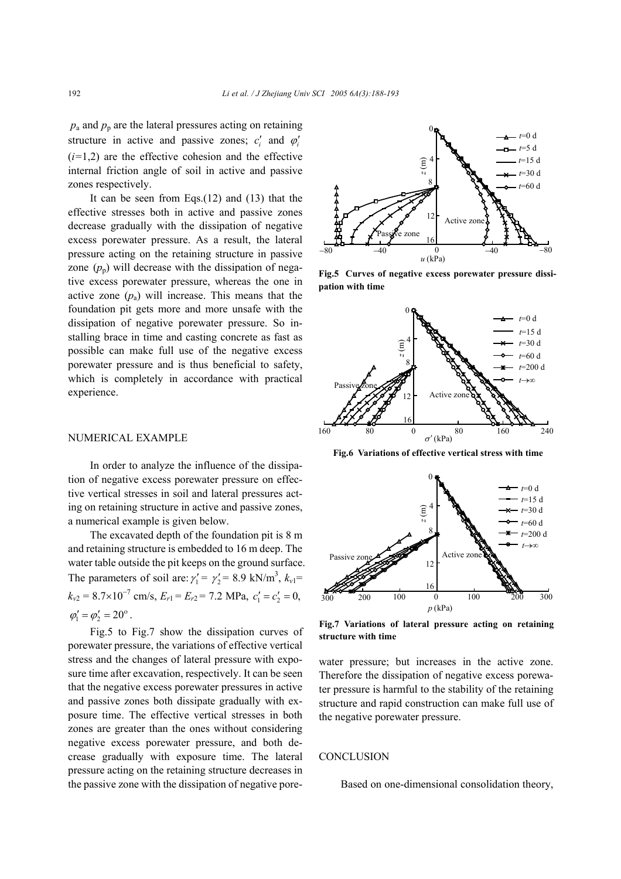$p_a$  and  $p_p$  are the lateral pressures acting on retaining structure in active and passive zones;  $c_i'$  and  $\varphi'_i$  $(i=1,2)$  are the effective cohesion and the effective internal friction angle of soil in active and passive zones respectively.

It can be seen from Eqs.(12) and (13) that the effective stresses both in active and passive zones decrease gradually with the dissipation of negative excess porewater pressure. As a result, the lateral pressure acting on the retaining structure in passive zone  $(p_p)$  will decrease with the dissipation of negative excess porewater pressure, whereas the one in active zone  $(p_a)$  will increase. This means that the foundation pit gets more and more unsafe with the dissipation of negative porewater pressure. So installing brace in time and casting concrete as fast as possible can make full use of the negative excess porewater pressure and is thus beneficial to safety, which is completely in accordance with practical experience.

#### NUMERICAL EXAMPLE

In order to analyze the influence of the dissipation of negative excess porewater pressure on effective vertical stresses in soil and lateral pressures acting on retaining structure in active and passive zones, a numerical example is given below.

The excavated depth of the foundation pit is 8 m and retaining structure is embedded to 16 m deep. The water table outside the pit keeps on the ground surface. The parameters of soil are:  $\gamma_1' = \gamma_2' = 8.9 \text{ kN/m}^3$ ,  $k_{v1} =$  $k_{v2} = 8.7 \times 10^{-7}$  cm/s,  $E_{r1} = E_{r2} = 7.2$  MPa,  $c'_1 = c'_2 = 0$ ,  $\varphi'_1 = \varphi'_2 = 20^\circ$ .

Fig.5 to Fig.7 show the dissipation curves of porewater pressure, the variations of effective vertical stress and the changes of lateral pressure with exposure time after excavation, respectively. It can be seen that the negative excess porewater pressures in active and passive zones both dissipate gradually with exposure time. The effective vertical stresses in both zones are greater than the ones without considering negative excess porewater pressure, and both decrease gradually with exposure time. The lateral pressure acting on the retaining structure decreases in the passive zone with the dissipation of negative pore-



**Fig.5 Curves of negative excess porewater pressure dissipation with time** 



**Fig.6 Variations of effective vertical stress with time**



**Fig.7 Variations of lateral pressure acting on retaining structure with time** 

water pressure; but increases in the active zone. Therefore the dissipation of negative excess porewater pressure is harmful to the stability of the retaining structure and rapid construction can make full use of the negative porewater pressure.

#### **CONCLUSION**

Based on one-dimensional consolidation theory,